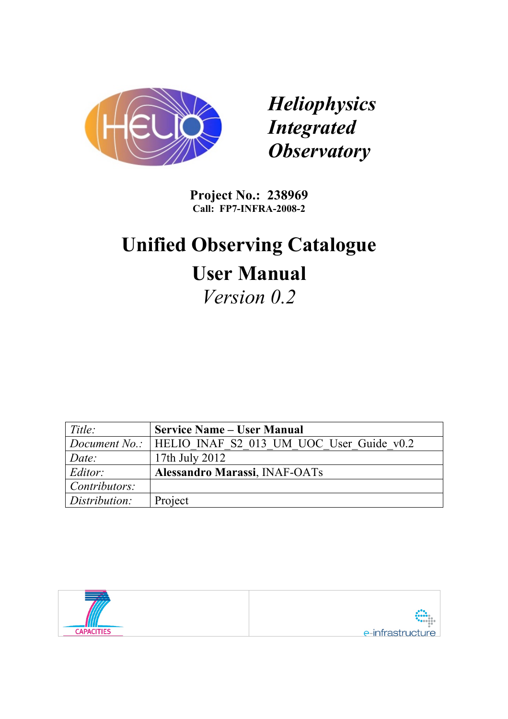

*Heliophysics Integrated Observatory*

**Project No.: 238969 Call: FP7-INFRA-2008-2**

# **Unified Observing Catalogue User Manual** *Version 0.2*

| Title:        | <b>Service Name – User Manual</b>                               |  |
|---------------|-----------------------------------------------------------------|--|
|               | <i>Document No.:</i>   HELIO INAF S2 013 UM UOC User Guide v0.2 |  |
| Date:         | 17th July 2012                                                  |  |
| Editor:       | <b>Alessandro Marassi, INAF-OATs</b>                            |  |
| Contributors: |                                                                 |  |
| Distribution: | Project                                                         |  |

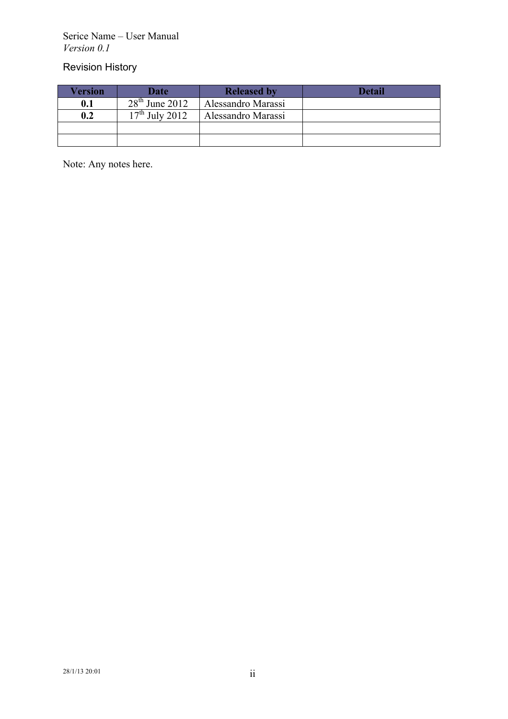Serice Name – User Manual *Version 0.1*

Revision History

| Version | Date                       | <b>Released by</b> | Detail |
|---------|----------------------------|--------------------|--------|
| 0.1     | $28th$ June 2012           | Alessandro Marassi |        |
| 0.2     | $17^{\text{th}}$ July 2012 | Alessandro Marassi |        |
|         |                            |                    |        |
|         |                            |                    |        |

Note: Any notes here.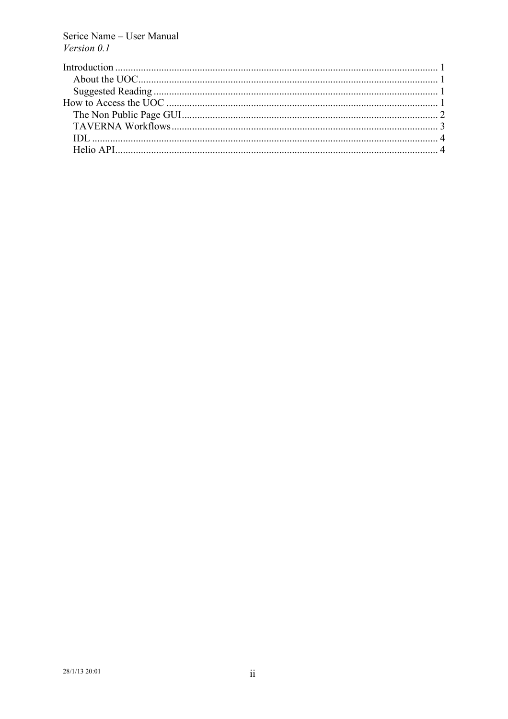Serice Name - User Manual Version 0.1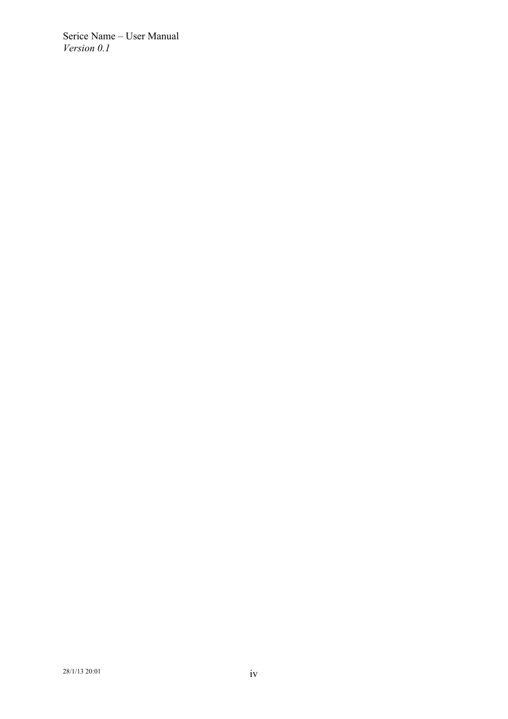Serice Name - User Manual Version  $0.1$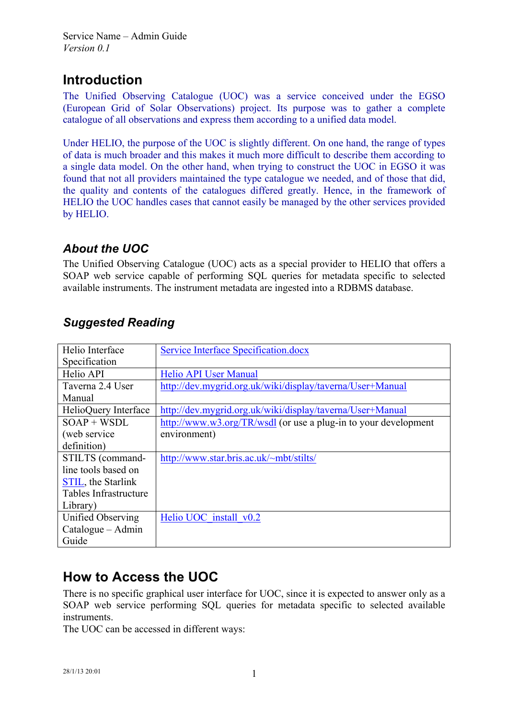# **Introduction**

The Unified Observing Catalogue (UOC) was a service conceived under the EGSO (European Grid of Solar Observations) project. Its purpose was to gather a complete catalogue of all observations and express them according to a unified data model.

Under HELIO, the purpose of the UOC is slightly different. On one hand, the range of types of data is much broader and this makes it much more difficult to describe them according to a single data model. On the other hand, when trying to construct the UOC in EGSO it was found that not all providers maintained the type catalogue we needed, and of those that did, the quality and contents of the catalogues differed greatly. Hence, in the framework of HELIO the UOC handles cases that cannot easily be managed by the other services provided by HELIO.

## *About the UOC*

The Unified Observing Catalogue (UOC) acts as a special provider to HELIO that offers a SOAP web service capable of performing SQL queries for metadata specific to selected available instruments. The instrument metadata are ingested into a RDBMS database.

| Helio Interface            | <b>Service Interface Specification.docx</b>                     |
|----------------------------|-----------------------------------------------------------------|
|                            |                                                                 |
| Specification              |                                                                 |
| Helio API                  | <b>Helio API User Manual</b>                                    |
| Taverna 2.4 User           | http://dev.mygrid.org.uk/wiki/display/taverna/User+Manual       |
| Manual                     |                                                                 |
| HelioQuery Interface       | http://dev.mygrid.org.uk/wiki/display/taverna/User+Manual       |
| $SOAP + WSDL$              | http://www.w3.org/TR/wsdl (or use a plug-in to your development |
| (web service)              | environment)                                                    |
| definition)                |                                                                 |
| STILTS (command-           | http://www.star.bris.ac.uk/~mbt/stilts/                         |
| line tools based on        |                                                                 |
| <b>STIL</b> , the Starlink |                                                                 |
| Tables Infrastructure      |                                                                 |
| Library)                   |                                                                 |
| Unified Observing          | Helio UOC install v0.2                                          |
| Catalogue – Admin          |                                                                 |
| Guide                      |                                                                 |

## *Suggested Reading*

# **How to Access the UOC**

There is no specific graphical user interface for UOC, since it is expected to answer only as a SOAP web service performing SQL queries for metadata specific to selected available instruments.

The UOC can be accessed in different ways: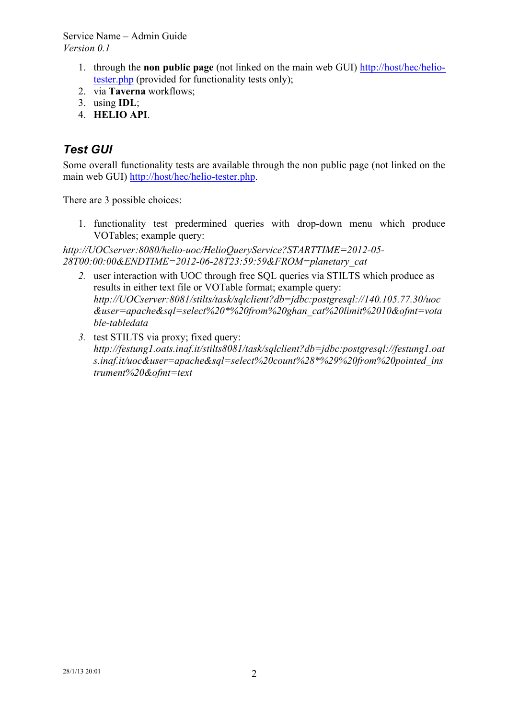Service Name – Admin Guide *Version 0.1*

- 1. through the **non public page** (not linked on the main web GUI) http://host/hec/heliotester.php (provided for functionality tests only);
- 2. via **Taverna** workflows;
- 3. using **IDL**;
- 4. **HELIO API**.

## *Test GUI*

Some overall functionality tests are available through the non public page (not linked on the main web GUI) http://host/hec/helio-tester.php.

There are 3 possible choices:

1. functionality test predermined queries with drop-down menu which produce VOTables; example query:

```
http://UOCserver:8080/helio-uoc/HelioQueryService?STARTTIME=2012-05-
28T00:00:00&ENDTIME=2012-06-28T23:59:59&FROM=planetary_cat
```
- *2.* user interaction with UOC through free SQL queries via STILTS which produce as results in either text file or VOTable format; example query: *http://UOCserver:8081/stilts/task/sqlclient?db=jdbc:postgresql://140.105.77.30/uoc &user=apache&sql=select%20\*%20from%20ghan\_cat%20limit%2010&ofmt=vota ble-tabledata*
- *3.* test STILTS via proxy; fixed query: *http://festung1.oats.inaf.it/stilts8081/task/sqlclient?db=jdbc:postgresql://festung1.oat s.inaf.it/uoc&user=apache&sql=select%20count%28\*%29%20from%20pointed\_ins trument%20&ofmt=text*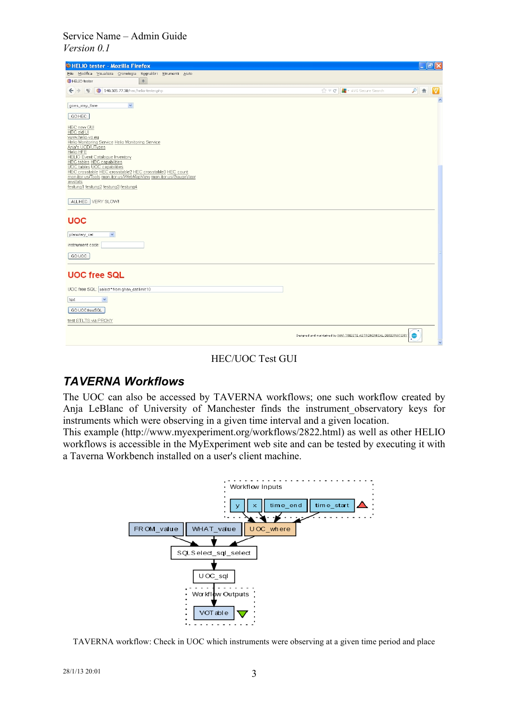Service Name – Admin Guide *Version 0.1*

| THELIO tester - Mozilla Firefox                                                                                                                                                                                                                   |                                                                  | E                            |
|---------------------------------------------------------------------------------------------------------------------------------------------------------------------------------------------------------------------------------------------------|------------------------------------------------------------------|------------------------------|
| Eile Modifica Visualizza Cronologia Segnalibri Strumenti Aiuto                                                                                                                                                                                    |                                                                  |                              |
| $\div$<br>HELIO tester                                                                                                                                                                                                                            |                                                                  |                              |
| $\Rightarrow$<br>$\mathcal{C}$<br>140.105.77.30/hec/helio-tester.php<br>←                                                                                                                                                                         | ☆ ▽ C   - AVG Secure Search                                      | $P$ $\hat{\mathbb{n}}$<br>IV |
| $\checkmark$<br>goes_xray_flare                                                                                                                                                                                                                   |                                                                  | $\overline{\phantom{a}}$     |
| GO HEC                                                                                                                                                                                                                                            |                                                                  |                              |
| <b>HEC new GUI</b><br>HEC old UI<br>www.helio-vo.eu<br>Helio Monitoring Service Helio Monitoring Service<br>Anja's UCD/UTypes<br>Helio HFE<br><b>HELIO Event Catalogue Inventory</b>                                                              |                                                                  |                              |
| <b>HEC tables HEC capabilities</b><br>UOC tables UOC capabilities<br>HEC crosstable HEC crosstable2 HEC crosstable3 HEC count<br>mon.itor.us/Tools mon.itor.us/WebMapView mon.itor.us/GaugeView<br>awstats<br>festung1 festung2 festung3 festung4 |                                                                  |                              |
| ALL HEC   VERY SLOW!                                                                                                                                                                                                                              |                                                                  |                              |
| <b>UOC</b>                                                                                                                                                                                                                                        |                                                                  |                              |
| $\checkmark$<br>planetary_cat                                                                                                                                                                                                                     |                                                                  |                              |
| instrument code:                                                                                                                                                                                                                                  |                                                                  |                              |
| GO UOC                                                                                                                                                                                                                                            |                                                                  |                              |
| <b>UOC free SQL</b>                                                                                                                                                                                                                               |                                                                  |                              |
| UOC free SQL: select*from ghan_cat limit10                                                                                                                                                                                                        |                                                                  |                              |
| $\checkmark$<br>text                                                                                                                                                                                                                              |                                                                  |                              |
| GO UOC free SQL                                                                                                                                                                                                                                   |                                                                  |                              |
| test STILTS via PROXY                                                                                                                                                                                                                             |                                                                  |                              |
|                                                                                                                                                                                                                                                   | Designed and maintained by INAF-TRIESTE ASTRONOMICAL OBSERVATORY | <b>CONT</b><br>$\checkmark$  |

HEC/UOC Test GUI

#### *TAVERNA Workflows*

The UOC can also be accessed by TAVERNA workflows; one such workflow created by Anja LeBlanc of University of Manchester finds the instrument\_observatory keys for instruments which were observing in a given time interval and a given location.

This example (http://www.myexperiment.org/workflows/2822.html) as well as other HELIO workflows is accessible in the MyExperiment web site and can be tested by executing it with a Taverna Workbench installed on a user's client machine.



TAVERNA workflow: Check in UOC which instruments were observing at a given time period and place